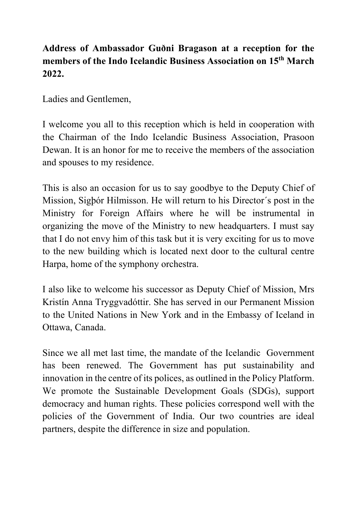## **Address of Ambassador Guðni Bragason at a reception for the members of the Indo Icelandic Business Association on 15th March 2022.**

Ladies and Gentlemen,

I welcome you all to this reception which is held in cooperation with the Chairman of the Indo Icelandic Business Association, Prasoon Dewan. It is an honor for me to receive the members of the association and spouses to my residence.

This is also an occasion for us to say goodbye to the Deputy Chief of Mission, Sigþór Hilmisson. He will return to his Director´s post in the Ministry for Foreign Affairs where he will be instrumental in organizing the move of the Ministry to new headquarters. I must say that I do not envy him of this task but it is very exciting for us to move to the new building which is located next door to the cultural centre Harpa, home of the symphony orchestra.

I also like to welcome his successor as Deputy Chief of Mission, Mrs Kristín Anna Tryggvadóttir. She has served in our Permanent Mission to the United Nations in New York and in the Embassy of Iceland in Ottawa, Canada.

Since we all met last time, the mandate of the Icelandic Government has been renewed. The Government has put sustainability and innovation in the centre of its polices, as outlined in the Policy Platform. We promote the Sustainable Development Goals (SDGs), support democracy and human rights. These policies correspond well with the policies of the Government of India. Our two countries are ideal partners, despite the difference in size and population.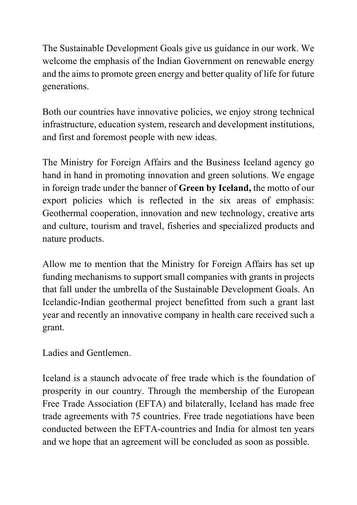The Sustainable Development Goals give us guidance in our work. We welcome the emphasis of the Indian Government on renewable energy and the aims to promote green energy and better quality of life for future generations.

Both our countries have innovative policies, we enjoy strong technical infrastructure, education system, research and development institutions, and first and foremost people with new ideas.

The Ministry for Foreign Affairs and the Business Iceland agency go hand in hand in promoting innovation and green solutions. We engage in foreign trade under the banner of **Green by Iceland,** the motto of our export policies which is reflected in the six areas of emphasis: Geothermal cooperation, innovation and new technology, creative arts and culture, tourism and travel, fisheries and specialized products and nature products.

Allow me to mention that the Ministry for Foreign Affairs has set up funding mechanisms to support small companies with grants in projects that fall under the umbrella of the Sustainable Development Goals. An Icelandic-Indian geothermal project benefitted from such a grant last year and recently an innovative company in health care received such a grant.

Ladies and Gentlemen.

Iceland is a staunch advocate of free trade which is the foundation of prosperity in our country. Through the membership of the European Free Trade Association (EFTA) and bilaterally, Iceland has made free trade agreements with 75 countries. Free trade negotiations have been conducted between the EFTA-countries and India for almost ten years and we hope that an agreement will be concluded as soon as possible.